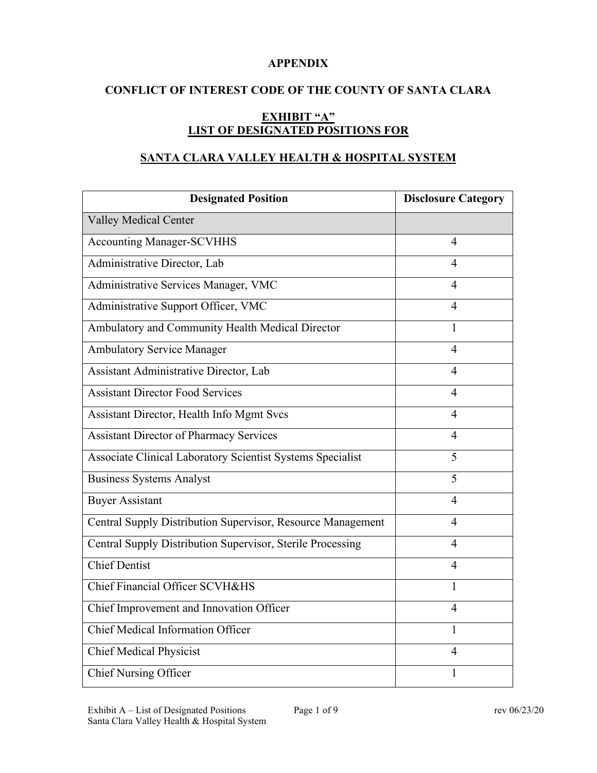#### **APPENDIX**

## **CONFLICT OF INTEREST CODE OF THE COUNTY OF SANTA CLARA**

# **EXHIBIT "A" LIST OF DESIGNATED POSITIONS FOR**

# **SANTA CLARA VALLEY HEALTH & HOSPITAL SYSTEM**

| <b>Designated Position</b>                                  | <b>Disclosure Category</b> |
|-------------------------------------------------------------|----------------------------|
| <b>Valley Medical Center</b>                                |                            |
| <b>Accounting Manager-SCVHHS</b>                            | 4                          |
| Administrative Director, Lab                                | 4                          |
| Administrative Services Manager, VMC                        | 4                          |
| Administrative Support Officer, VMC                         | 4                          |
| Ambulatory and Community Health Medical Director            | 1                          |
| <b>Ambulatory Service Manager</b>                           | 4                          |
| Assistant Administrative Director, Lab                      | 4                          |
| <b>Assistant Director Food Services</b>                     | $\overline{4}$             |
| Assistant Director, Health Info Mgmt Svcs                   | 4                          |
| <b>Assistant Director of Pharmacy Services</b>              | 4                          |
| Associate Clinical Laboratory Scientist Systems Specialist  | 5                          |
| <b>Business Systems Analyst</b>                             | 5                          |
| <b>Buyer Assistant</b>                                      | 4                          |
| Central Supply Distribution Supervisor, Resource Management | 4                          |
| Central Supply Distribution Supervisor, Sterile Processing  | 4                          |
| <b>Chief Dentist</b>                                        | 4                          |
| Chief Financial Officer SCVH&HS                             | 1                          |
| Chief Improvement and Innovation Officer                    | 4                          |
| <b>Chief Medical Information Officer</b>                    | 1                          |
| <b>Chief Medical Physicist</b>                              | $\overline{4}$             |
| <b>Chief Nursing Officer</b>                                | 1                          |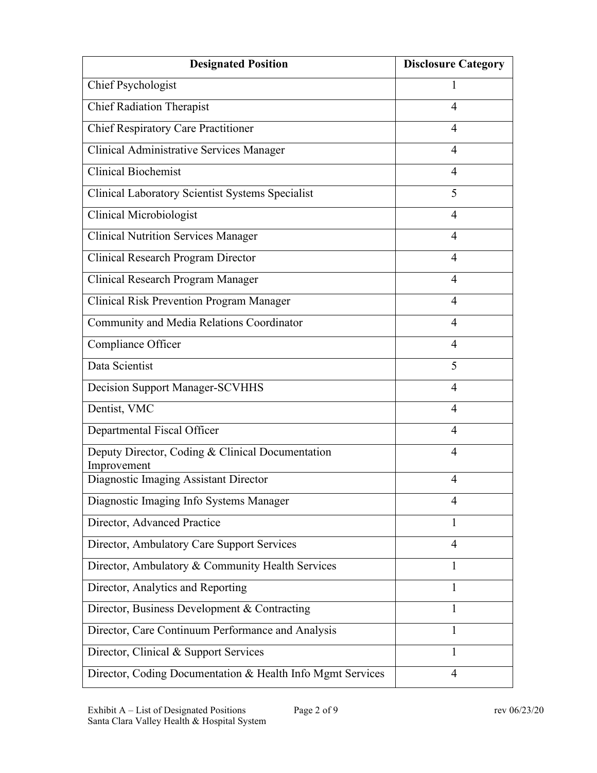| <b>Designated Position</b>                                      | <b>Disclosure Category</b> |
|-----------------------------------------------------------------|----------------------------|
| Chief Psychologist                                              | 1                          |
| <b>Chief Radiation Therapist</b>                                | $\overline{4}$             |
| <b>Chief Respiratory Care Practitioner</b>                      | $\overline{4}$             |
| Clinical Administrative Services Manager                        | 4                          |
| <b>Clinical Biochemist</b>                                      | $\overline{4}$             |
| Clinical Laboratory Scientist Systems Specialist                | 5                          |
| <b>Clinical Microbiologist</b>                                  | $\overline{4}$             |
| <b>Clinical Nutrition Services Manager</b>                      | 4                          |
| Clinical Research Program Director                              | $\overline{4}$             |
| Clinical Research Program Manager                               | $\overline{4}$             |
| <b>Clinical Risk Prevention Program Manager</b>                 | 4                          |
| Community and Media Relations Coordinator                       | 4                          |
| Compliance Officer                                              | 4                          |
| Data Scientist                                                  | 5                          |
| <b>Decision Support Manager-SCVHHS</b>                          | $\overline{4}$             |
| Dentist, VMC                                                    | 4                          |
| Departmental Fiscal Officer                                     | $\overline{4}$             |
| Deputy Director, Coding & Clinical Documentation<br>Improvement | $\overline{4}$             |
| Diagnostic Imaging Assistant Director                           | 4                          |
| Diagnostic Imaging Info Systems Manager                         | $\overline{4}$             |
| Director, Advanced Practice                                     | 1                          |
| Director, Ambulatory Care Support Services                      | $\overline{4}$             |
| Director, Ambulatory & Community Health Services                | 1                          |
| Director, Analytics and Reporting                               | 1                          |
| Director, Business Development & Contracting                    | 1                          |
| Director, Care Continuum Performance and Analysis               | 1                          |
| Director, Clinical & Support Services                           | 1                          |
| Director, Coding Documentation & Health Info Mgmt Services      | $\overline{4}$             |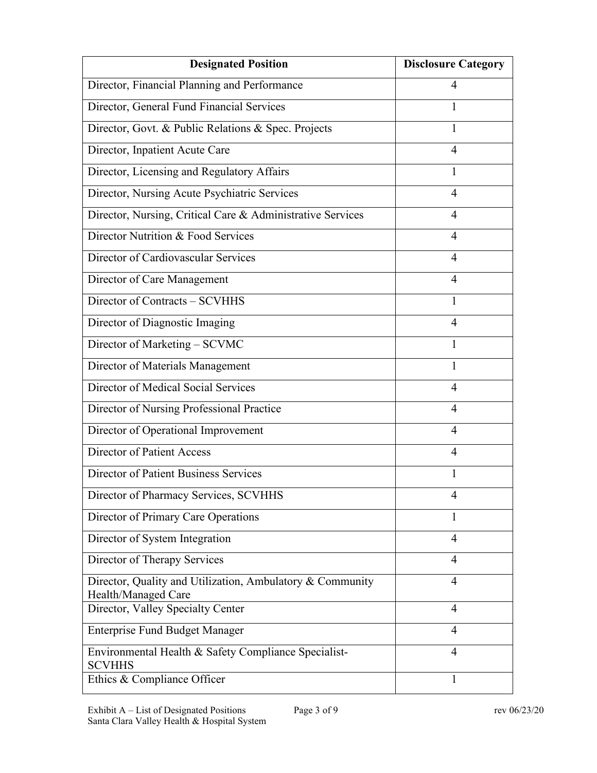| <b>Designated Position</b>                                                       | <b>Disclosure Category</b> |
|----------------------------------------------------------------------------------|----------------------------|
| Director, Financial Planning and Performance                                     | 4                          |
| Director, General Fund Financial Services                                        | 1                          |
| Director, Govt. & Public Relations & Spec. Projects                              | 1                          |
| Director, Inpatient Acute Care                                                   | $\overline{4}$             |
| Director, Licensing and Regulatory Affairs                                       | 1                          |
| Director, Nursing Acute Psychiatric Services                                     | $\overline{4}$             |
| Director, Nursing, Critical Care & Administrative Services                       | $\overline{4}$             |
| Director Nutrition & Food Services                                               | $\overline{4}$             |
| Director of Cardiovascular Services                                              | 4                          |
| Director of Care Management                                                      | $\overline{4}$             |
| Director of Contracts – SCVHHS                                                   | 1                          |
| Director of Diagnostic Imaging                                                   | $\overline{4}$             |
| Director of Marketing - SCVMC                                                    | 1                          |
| Director of Materials Management                                                 | 1                          |
| Director of Medical Social Services                                              | $\overline{4}$             |
| Director of Nursing Professional Practice                                        | 4                          |
| Director of Operational Improvement                                              | $\overline{4}$             |
| <b>Director of Patient Access</b>                                                | $\overline{4}$             |
| <b>Director of Patient Business Services</b>                                     | 1                          |
| Director of Pharmacy Services, SCVHHS                                            | 4                          |
| Director of Primary Care Operations                                              | 1                          |
| Director of System Integration                                                   | $\overline{4}$             |
| Director of Therapy Services                                                     | $\overline{4}$             |
| Director, Quality and Utilization, Ambulatory & Community<br>Health/Managed Care | $\overline{4}$             |
| Director, Valley Specialty Center                                                | $\overline{4}$             |
| <b>Enterprise Fund Budget Manager</b>                                            | 4                          |
| Environmental Health & Safety Compliance Specialist-<br><b>SCVHHS</b>            | $\overline{4}$             |
| Ethics & Compliance Officer                                                      | 1                          |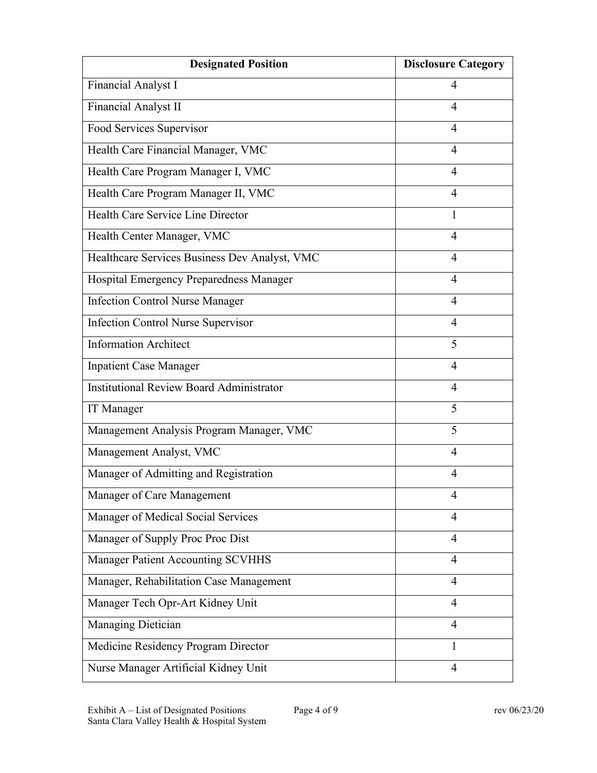| <b>Designated Position</b>                      | <b>Disclosure Category</b> |
|-------------------------------------------------|----------------------------|
| Financial Analyst I                             | 4                          |
| Financial Analyst II                            | $\overline{4}$             |
| Food Services Supervisor                        | $\overline{4}$             |
| Health Care Financial Manager, VMC              | $\overline{4}$             |
| Health Care Program Manager I, VMC              | 4                          |
| Health Care Program Manager II, VMC             | $\overline{4}$             |
| Health Care Service Line Director               | 1                          |
| Health Center Manager, VMC                      | 4                          |
| Healthcare Services Business Dev Analyst, VMC   | $\overline{4}$             |
| Hospital Emergency Preparedness Manager         | 4                          |
| <b>Infection Control Nurse Manager</b>          | $\overline{4}$             |
| <b>Infection Control Nurse Supervisor</b>       | $\overline{4}$             |
| <b>Information Architect</b>                    | 5                          |
| <b>Inpatient Case Manager</b>                   | $\overline{4}$             |
| <b>Institutional Review Board Administrator</b> | $\overline{4}$             |
| <b>IT</b> Manager                               | 5                          |
| Management Analysis Program Manager, VMC        | 5                          |
| Management Analyst, VMC                         | $\overline{4}$             |
| Manager of Admitting and Registration           | $\overline{4}$             |
| Manager of Care Management                      | 4                          |
| Manager of Medical Social Services              | 4                          |
| Manager of Supply Proc Proc Dist                | $\overline{4}$             |
| Manager Patient Accounting SCVHHS               | $\overline{4}$             |
| Manager, Rehabilitation Case Management         | $\overline{4}$             |
| Manager Tech Opr-Art Kidney Unit                | $\overline{4}$             |
| Managing Dietician                              | 4                          |
| Medicine Residency Program Director             | 1                          |
| Nurse Manager Artificial Kidney Unit            | $\overline{4}$             |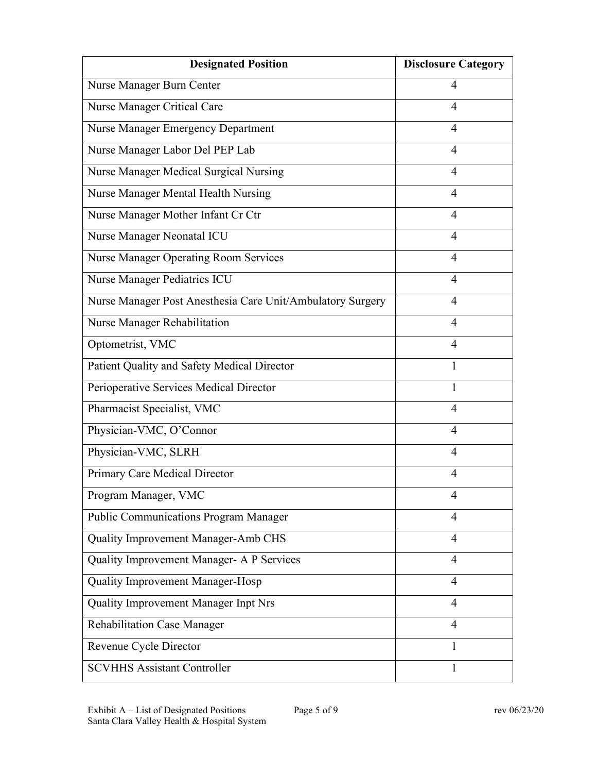| <b>Designated Position</b>                                 | <b>Disclosure Category</b> |
|------------------------------------------------------------|----------------------------|
| Nurse Manager Burn Center                                  | 4                          |
| Nurse Manager Critical Care                                | $\overline{4}$             |
| Nurse Manager Emergency Department                         | $\overline{4}$             |
| Nurse Manager Labor Del PEP Lab                            | 4                          |
| Nurse Manager Medical Surgical Nursing                     | 4                          |
| Nurse Manager Mental Health Nursing                        | $\overline{4}$             |
| Nurse Manager Mother Infant Cr Ctr                         | $\overline{4}$             |
| Nurse Manager Neonatal ICU                                 | 4                          |
| <b>Nurse Manager Operating Room Services</b>               | $\overline{4}$             |
| Nurse Manager Pediatrics ICU                               | 4                          |
| Nurse Manager Post Anesthesia Care Unit/Ambulatory Surgery | $\overline{4}$             |
| Nurse Manager Rehabilitation                               | $\overline{4}$             |
| Optometrist, VMC                                           | 4                          |
| Patient Quality and Safety Medical Director                | 1                          |
| Perioperative Services Medical Director                    | 1                          |
| Pharmacist Specialist, VMC                                 | $\overline{4}$             |
| Physician-VMC, O'Connor                                    | $\overline{4}$             |
| Physician-VMC, SLRH                                        | $\overline{4}$             |
| Primary Care Medical Director                              | $\overline{4}$             |
| Program Manager, VMC                                       | 4                          |
| <b>Public Communications Program Manager</b>               | 4                          |
| Quality Improvement Manager-Amb CHS                        | $\overline{4}$             |
| Quality Improvement Manager- A P Services                  | $\overline{4}$             |
| Quality Improvement Manager-Hosp                           | $\overline{4}$             |
| Quality Improvement Manager Inpt Nrs                       | $\overline{4}$             |
| <b>Rehabilitation Case Manager</b>                         | $\overline{4}$             |
| Revenue Cycle Director                                     | 1                          |
| <b>SCVHHS Assistant Controller</b>                         | 1                          |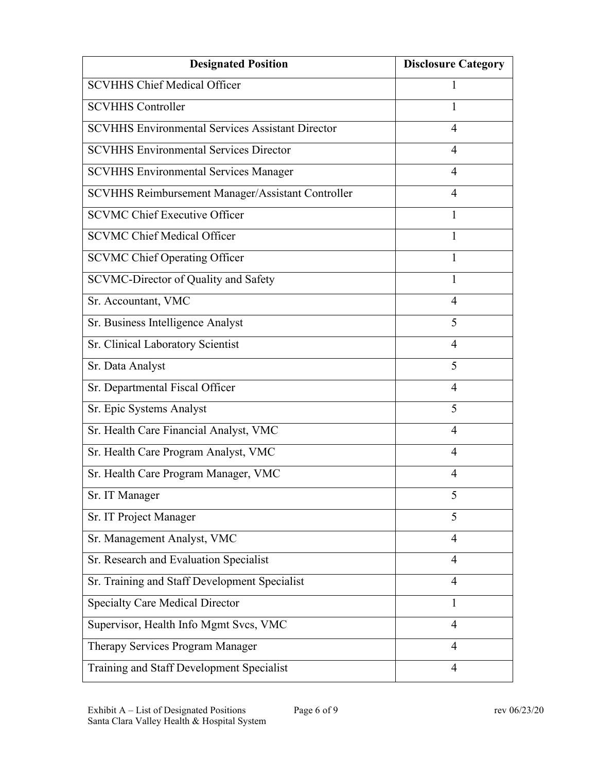| <b>Designated Position</b>                              | <b>Disclosure Category</b> |
|---------------------------------------------------------|----------------------------|
| <b>SCVHHS Chief Medical Officer</b>                     |                            |
| <b>SCVHHS Controller</b>                                | 1                          |
| <b>SCVHHS Environmental Services Assistant Director</b> | $\overline{4}$             |
| <b>SCVHHS Environmental Services Director</b>           | 4                          |
| <b>SCVHHS Environmental Services Manager</b>            | 4                          |
| SCVHHS Reimbursement Manager/Assistant Controller       | 4                          |
| <b>SCVMC Chief Executive Officer</b>                    | 1                          |
| <b>SCVMC Chief Medical Officer</b>                      | 1                          |
| <b>SCVMC Chief Operating Officer</b>                    | 1                          |
| SCVMC-Director of Quality and Safety                    | 1                          |
| Sr. Accountant, VMC                                     | $\overline{4}$             |
| Sr. Business Intelligence Analyst                       | 5                          |
| Sr. Clinical Laboratory Scientist                       | $\overline{4}$             |
| Sr. Data Analyst                                        | 5                          |
| Sr. Departmental Fiscal Officer                         | $\overline{4}$             |
| Sr. Epic Systems Analyst                                | 5                          |
| Sr. Health Care Financial Analyst, VMC                  | $\overline{4}$             |
| Sr. Health Care Program Analyst, VMC                    | $\overline{4}$             |
| Sr. Health Care Program Manager, VMC                    | 4                          |
| Sr. IT Manager                                          | 5                          |
| Sr. IT Project Manager                                  | 5                          |
| Sr. Management Analyst, VMC                             | $\overline{4}$             |
| Sr. Research and Evaluation Specialist                  | $\overline{4}$             |
| Sr. Training and Staff Development Specialist           | $\overline{4}$             |
| <b>Specialty Care Medical Director</b>                  | $\mathbf{1}$               |
| Supervisor, Health Info Mgmt Svcs, VMC                  | 4                          |
| Therapy Services Program Manager                        | 4                          |
| Training and Staff Development Specialist               | $\overline{4}$             |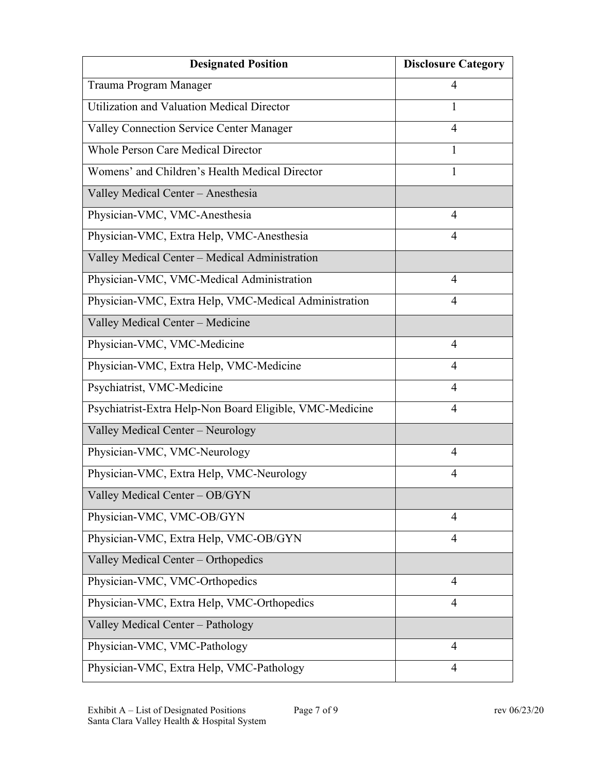| <b>Designated Position</b>                               | <b>Disclosure Category</b> |
|----------------------------------------------------------|----------------------------|
| Trauma Program Manager                                   | 4                          |
| Utilization and Valuation Medical Director               | 1                          |
| Valley Connection Service Center Manager                 | $\overline{4}$             |
| <b>Whole Person Care Medical Director</b>                | 1                          |
| Womens' and Children's Health Medical Director           | 1                          |
| Valley Medical Center - Anesthesia                       |                            |
| Physician-VMC, VMC-Anesthesia                            | $\overline{4}$             |
| Physician-VMC, Extra Help, VMC-Anesthesia                | 4                          |
| Valley Medical Center - Medical Administration           |                            |
| Physician-VMC, VMC-Medical Administration                | $\overline{4}$             |
| Physician-VMC, Extra Help, VMC-Medical Administration    | 4                          |
| Valley Medical Center - Medicine                         |                            |
| Physician-VMC, VMC-Medicine                              | 4                          |
| Physician-VMC, Extra Help, VMC-Medicine                  | 4                          |
| Psychiatrist, VMC-Medicine                               | $\overline{4}$             |
| Psychiatrist-Extra Help-Non Board Eligible, VMC-Medicine | 4                          |
| Valley Medical Center - Neurology                        |                            |
| Physician-VMC, VMC-Neurology                             | $\overline{4}$             |
| Physician-VMC, Extra Help, VMC-Neurology                 | 4                          |
| Valley Medical Center - OB/GYN                           |                            |
| Physician-VMC, VMC-OB/GYN                                | 4                          |
| Physician-VMC, Extra Help, VMC-OB/GYN                    | $\overline{4}$             |
| Valley Medical Center - Orthopedics                      |                            |
| Physician-VMC, VMC-Orthopedics                           | $\overline{4}$             |
| Physician-VMC, Extra Help, VMC-Orthopedics               | $\overline{4}$             |
| Valley Medical Center - Pathology                        |                            |
| Physician-VMC, VMC-Pathology                             | 4                          |
| Physician-VMC, Extra Help, VMC-Pathology                 | 4                          |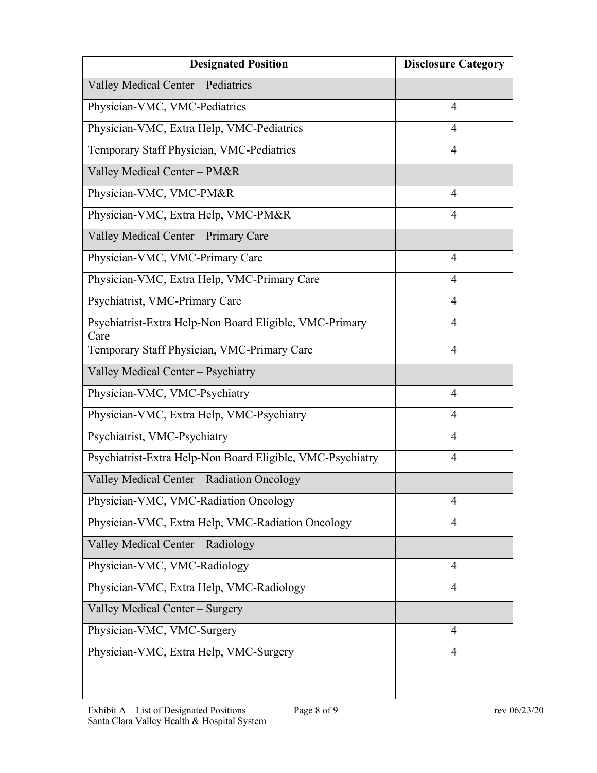| <b>Designated Position</b>                                      | <b>Disclosure Category</b> |
|-----------------------------------------------------------------|----------------------------|
| Valley Medical Center - Pediatrics                              |                            |
| Physician-VMC, VMC-Pediatrics                                   | $\overline{4}$             |
| Physician-VMC, Extra Help, VMC-Pediatrics                       | 4                          |
| Temporary Staff Physician, VMC-Pediatrics                       | $\overline{4}$             |
| Valley Medical Center - PM&R                                    |                            |
| Physician-VMC, VMC-PM&R                                         | 4                          |
| Physician-VMC, Extra Help, VMC-PM&R                             | $\overline{4}$             |
| Valley Medical Center - Primary Care                            |                            |
| Physician-VMC, VMC-Primary Care                                 | $\overline{4}$             |
| Physician-VMC, Extra Help, VMC-Primary Care                     | $\overline{4}$             |
| Psychiatrist, VMC-Primary Care                                  | 4                          |
| Psychiatrist-Extra Help-Non Board Eligible, VMC-Primary<br>Care | $\overline{4}$             |
| Temporary Staff Physician, VMC-Primary Care                     | $\overline{4}$             |
| Valley Medical Center - Psychiatry                              |                            |
| Physician-VMC, VMC-Psychiatry                                   | $\overline{4}$             |
| Physician-VMC, Extra Help, VMC-Psychiatry                       | 4                          |
| Psychiatrist, VMC-Psychiatry                                    | 4                          |
| Psychiatrist-Extra Help-Non Board Eligible, VMC-Psychiatry      | 4                          |
| Valley Medical Center - Radiation Oncology                      |                            |
| Physician-VMC, VMC-Radiation Oncology                           | $\overline{4}$             |
| Physician-VMC, Extra Help, VMC-Radiation Oncology               | $\overline{4}$             |
| Valley Medical Center - Radiology                               |                            |
| Physician-VMC, VMC-Radiology                                    | $\overline{4}$             |
| Physician-VMC, Extra Help, VMC-Radiology                        | $\overline{4}$             |
| Valley Medical Center - Surgery                                 |                            |
| Physician-VMC, VMC-Surgery                                      | $\overline{4}$             |
| Physician-VMC, Extra Help, VMC-Surgery                          | $\overline{4}$             |
|                                                                 |                            |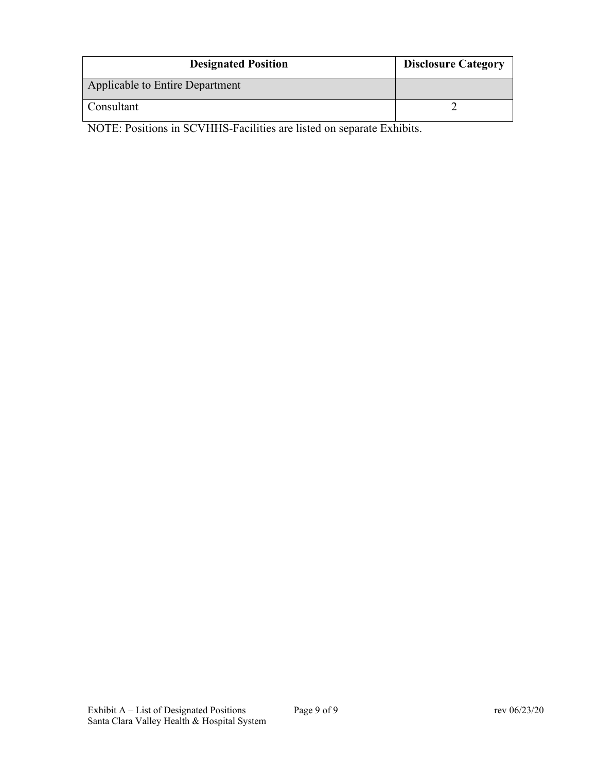| <b>Designated Position</b>      | <b>Disclosure Category</b> |
|---------------------------------|----------------------------|
| Applicable to Entire Department |                            |
| Consultant                      |                            |

NOTE: Positions in SCVHHS-Facilities are listed on separate Exhibits.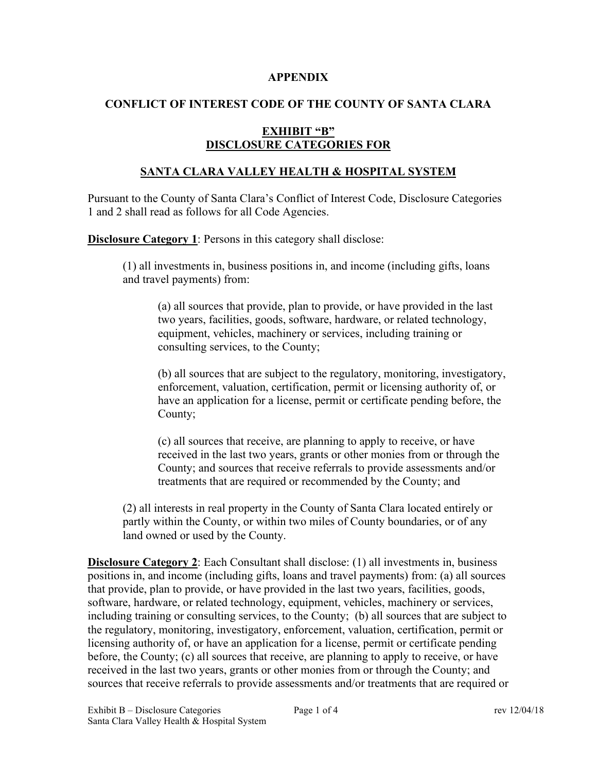#### **APPENDIX**

# **CONFLICT OF INTEREST CODE OF THE COUNTY OF SANTA CLARA**

## **EXHIBIT "B" DISCLOSURE CATEGORIES FOR**

## **SANTA CLARA VALLEY HEALTH & HOSPITAL SYSTEM**

Pursuant to the County of Santa Clara's Conflict of Interest Code, Disclosure Categories 1 and 2 shall read as follows for all Code Agencies.

**Disclosure Category 1**: Persons in this category shall disclose:

(1) all investments in, business positions in, and income (including gifts, loans and travel payments) from:

(a) all sources that provide, plan to provide, or have provided in the last two years, facilities, goods, software, hardware, or related technology, equipment, vehicles, machinery or services, including training or consulting services, to the County;

(b) all sources that are subject to the regulatory, monitoring, investigatory, enforcement, valuation, certification, permit or licensing authority of, or have an application for a license, permit or certificate pending before, the County;

(c) all sources that receive, are planning to apply to receive, or have received in the last two years, grants or other monies from or through the County; and sources that receive referrals to provide assessments and/or treatments that are required or recommended by the County; and

(2) all interests in real property in the County of Santa Clara located entirely or partly within the County, or within two miles of County boundaries, or of any land owned or used by the County.

**Disclosure Category 2**: Each Consultant shall disclose: (1) all investments in, business positions in, and income (including gifts, loans and travel payments) from: (a) all sources that provide, plan to provide, or have provided in the last two years, facilities, goods, software, hardware, or related technology, equipment, vehicles, machinery or services, including training or consulting services, to the County; (b) all sources that are subject to the regulatory, monitoring, investigatory, enforcement, valuation, certification, permit or licensing authority of, or have an application for a license, permit or certificate pending before, the County; (c) all sources that receive, are planning to apply to receive, or have received in the last two years, grants or other monies from or through the County; and sources that receive referrals to provide assessments and/or treatments that are required or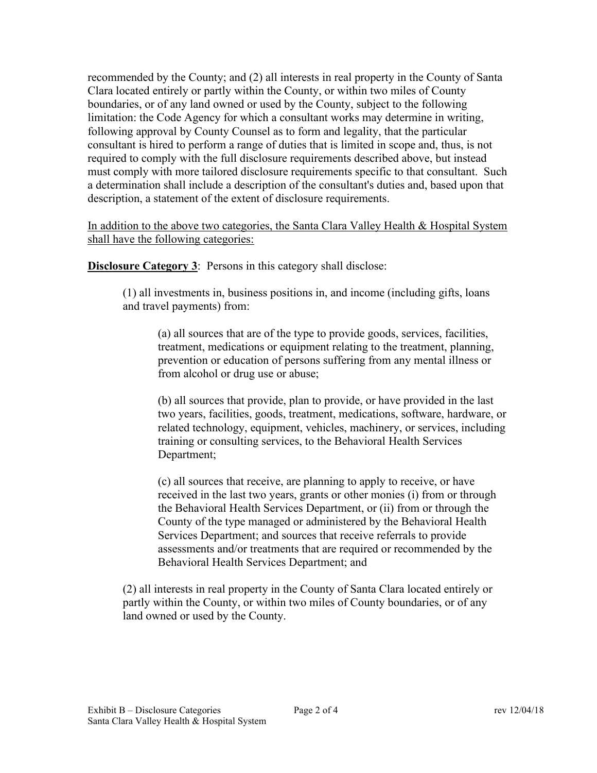recommended by the County; and (2) all interests in real property in the County of Santa Clara located entirely or partly within the County, or within two miles of County boundaries, or of any land owned or used by the County, subject to the following limitation: the Code Agency for which a consultant works may determine in writing, following approval by County Counsel as to form and legality, that the particular consultant is hired to perform a range of duties that is limited in scope and, thus, is not required to comply with the full disclosure requirements described above, but instead must comply with more tailored disclosure requirements specific to that consultant. Such a determination shall include a description of the consultant's duties and, based upon that description, a statement of the extent of disclosure requirements.

# In addition to the above two categories, the Santa Clara Valley Health & Hospital System shall have the following categories:

**Disclosure Category 3**: Persons in this category shall disclose:

(1) all investments in, business positions in, and income (including gifts, loans and travel payments) from:

(a) all sources that are of the type to provide goods, services, facilities, treatment, medications or equipment relating to the treatment, planning, prevention or education of persons suffering from any mental illness or from alcohol or drug use or abuse;

(b) all sources that provide, plan to provide, or have provided in the last two years, facilities, goods, treatment, medications, software, hardware, or related technology, equipment, vehicles, machinery, or services, including training or consulting services, to the Behavioral Health Services Department;

(c) all sources that receive, are planning to apply to receive, or have received in the last two years, grants or other monies (i) from or through the Behavioral Health Services Department, or (ii) from or through the County of the type managed or administered by the Behavioral Health Services Department; and sources that receive referrals to provide assessments and/or treatments that are required or recommended by the Behavioral Health Services Department; and

(2) all interests in real property in the County of Santa Clara located entirely or partly within the County, or within two miles of County boundaries, or of any land owned or used by the County.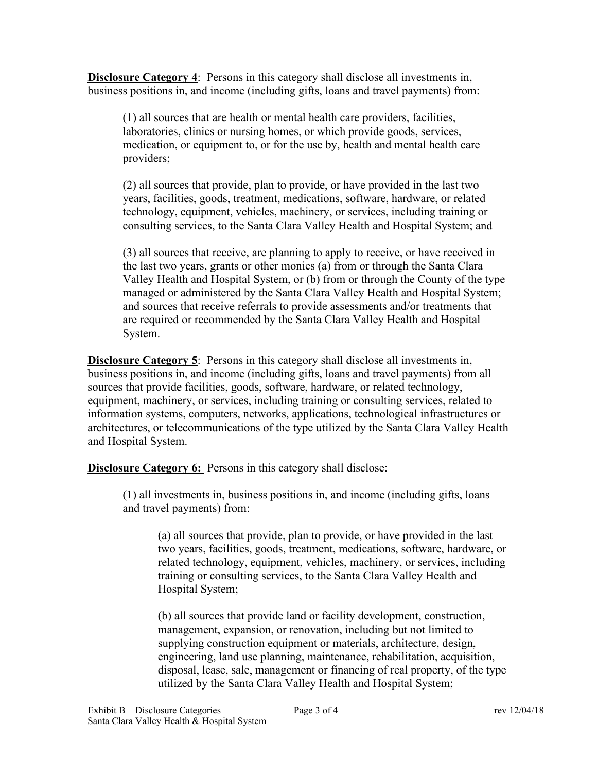**Disclosure Category 4**: Persons in this category shall disclose all investments in, business positions in, and income (including gifts, loans and travel payments) from:

(1) all sources that are health or mental health care providers, facilities, laboratories, clinics or nursing homes, or which provide goods, services, medication, or equipment to, or for the use by, health and mental health care providers;

(2) all sources that provide, plan to provide, or have provided in the last two years, facilities, goods, treatment, medications, software, hardware, or related technology, equipment, vehicles, machinery, or services, including training or consulting services, to the Santa Clara Valley Health and Hospital System; and

(3) all sources that receive, are planning to apply to receive, or have received in the last two years, grants or other monies (a) from or through the Santa Clara Valley Health and Hospital System, or (b) from or through the County of the type managed or administered by the Santa Clara Valley Health and Hospital System; and sources that receive referrals to provide assessments and/or treatments that are required or recommended by the Santa Clara Valley Health and Hospital System.

**Disclosure Category 5**: Persons in this category shall disclose all investments in, business positions in, and income (including gifts, loans and travel payments) from all sources that provide facilities, goods, software, hardware, or related technology, equipment, machinery, or services, including training or consulting services, related to information systems, computers, networks, applications, technological infrastructures or architectures, or telecommunications of the type utilized by the Santa Clara Valley Health and Hospital System.

**Disclosure Category 6:** Persons in this category shall disclose:

(1) all investments in, business positions in, and income (including gifts, loans and travel payments) from:

(a) all sources that provide, plan to provide, or have provided in the last two years, facilities, goods, treatment, medications, software, hardware, or related technology, equipment, vehicles, machinery, or services, including training or consulting services, to the Santa Clara Valley Health and Hospital System;

(b) all sources that provide land or facility development, construction, management, expansion, or renovation, including but not limited to supplying construction equipment or materials, architecture, design, engineering, land use planning, maintenance, rehabilitation, acquisition, disposal, lease, sale, management or financing of real property, of the type utilized by the Santa Clara Valley Health and Hospital System;